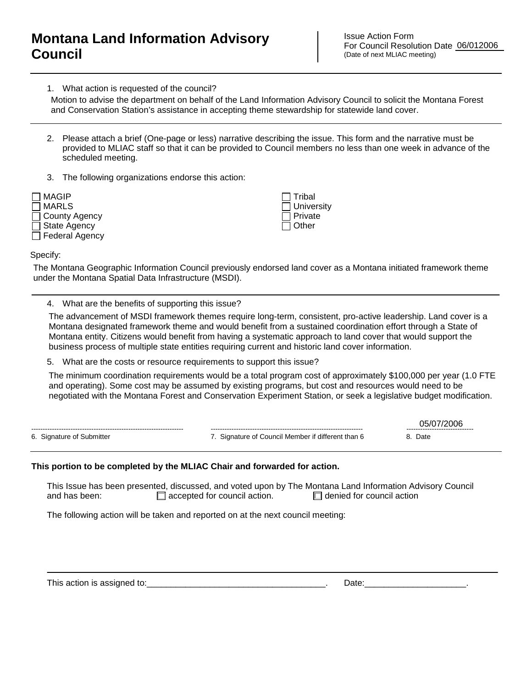## **Montana Land Information Advisory Council**

Issue Action Form For Council Resolution Date 06/012006 (Date of next MLIAC meeting)

1. What action is requested of the council?

and Conservation Station's assistance in accepting theme stewardship for statewide land cover.

- 2. Please attach a brief (One-page or less) narrative describing the issue. This form and the narrative must be provided to MLIAC staff so that it can be provided to Council members no less than one week in advance of the scheduled meeting.
- 3. The following organizations endorse this action:



 Tribal **University**  Private  $\Box$  Other

Specify:

The Montana Geographic Information Council previously endorsed land cover as a Montana initiated framework theme under the Montana Spatial Data Infrastructure (MSDI).

4. What are the benefits of supporting this issue?

The advancement of MSDI framework themes require long-term, consistent, pro-active leadership. Land cover is a Montana designated framework theme and would benefit from a sustained coordination effort through a State of Montana entity. Citizens would benefit from having a systematic approach to land cover that would support the business process of multiple state entities requiring current and historic land cover information. Motion to advise the department on behalf of the Land Information Advisory Council to solicit the Montana Forest<br>
and Conservation Station's assistance in accepting them estewardship for stativide land cover.<br>
2. Please at

5. What are the costs or resource requirements to support this issue?

The minimum coordination requirements would be a total program cost of approximately \$100,000 per year (1.0 FTE and operating). Some cost may be assumed by existing programs, but cost and resources would need to be

|                           |                                                    | ------------------------------ |
|---------------------------|----------------------------------------------------|--------------------------------|
| 6. Signature of Submitter | 7. Signature of Council Member if different than 6 | Date                           |

## **This portion to be completed by the MLIAC Chair and forwarded for action.**

This Issue has been presented, discussed, and voted upon by The Montana Land Information Advisory Council and has been:  $\Box$  accepted for council action.  $\Box$  denied for council action

The following action will be taken and reported on at the next council meeting:

This action is assigned to:\_\_\_\_\_\_\_\_\_\_\_\_\_\_\_\_\_\_\_\_\_\_\_\_\_\_\_\_\_\_\_\_\_\_\_\_\_. Date:\_\_\_\_\_\_\_\_\_\_\_\_\_\_\_\_\_\_\_\_\_.